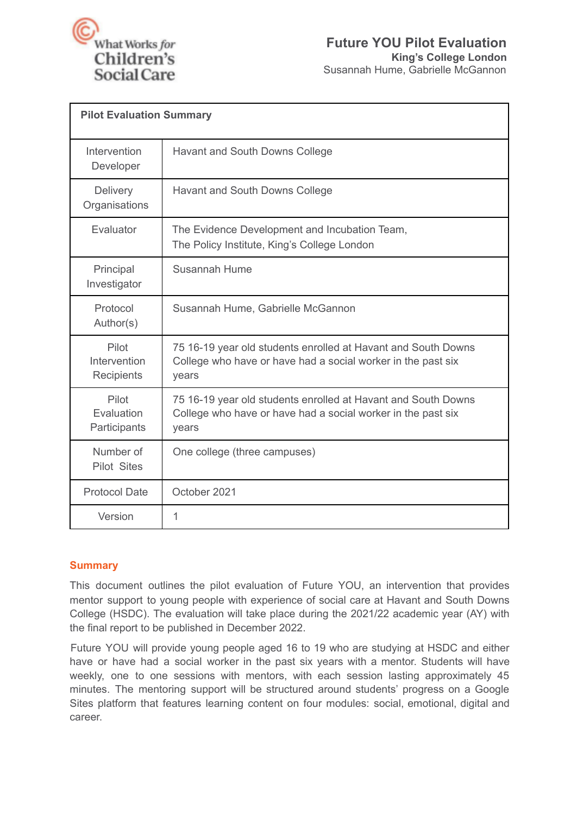

| <b>Pilot Evaluation Summary</b>     |                                                                                                                                        |
|-------------------------------------|----------------------------------------------------------------------------------------------------------------------------------------|
| Intervention<br>Developer           | Havant and South Downs College                                                                                                         |
| <b>Delivery</b><br>Organisations    | Havant and South Downs College                                                                                                         |
| Evaluator                           | The Evidence Development and Incubation Team,<br>The Policy Institute, King's College London                                           |
| Principal<br>Investigator           | Susannah Hume                                                                                                                          |
| Protocol<br>Author(s)               | Susannah Hume, Gabrielle McGannon                                                                                                      |
| Pilot<br>Intervention<br>Recipients | 75 16-19 year old students enrolled at Havant and South Downs<br>College who have or have had a social worker in the past six<br>years |
| Pilot<br>Evaluation<br>Participants | 75 16-19 year old students enrolled at Havant and South Downs<br>College who have or have had a social worker in the past six<br>years |
| Number of<br><b>Pilot Sites</b>     | One college (three campuses)                                                                                                           |
| <b>Protocol Date</b>                | October 2021                                                                                                                           |
| Version                             | 1                                                                                                                                      |

# **Summary**

This document outlines the pilot evaluation of Future YOU, an intervention that provides mentor support to young people with experience of social care at Havant and South Downs College (HSDC). The evaluation will take place during the 2021/22 academic year (AY) with the final report to be published in December 2022.

Future YOU will provide young people aged 16 to 19 who are studying at HSDC and either have or have had a social worker in the past six years with a mentor. Students will have weekly, one to one sessions with mentors, with each session lasting approximately 45 minutes. The mentoring support will be structured around students' progress on a Google Sites platform that features learning content on four modules: social, emotional, digital and career.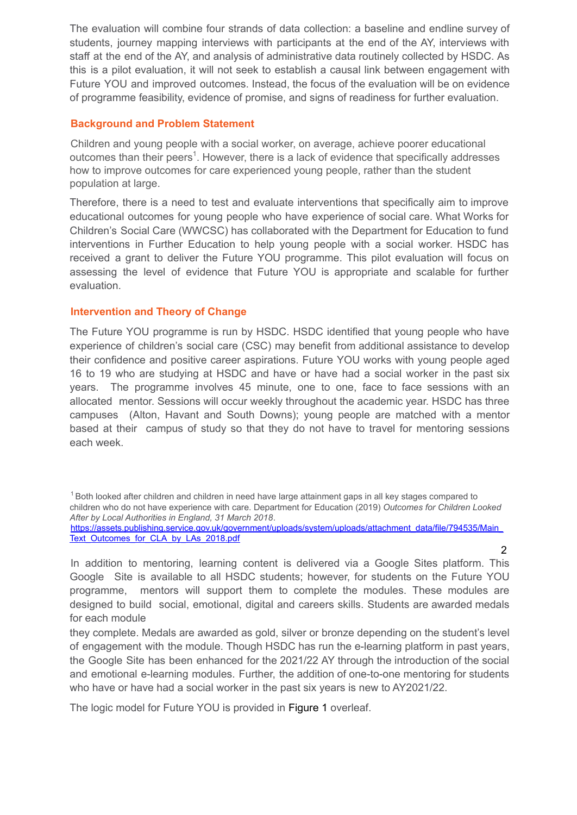The evaluation will combine four strands of data collection: a baseline and endline survey of students, journey mapping interviews with participants at the end of the AY, interviews with staff at the end of the AY, and analysis of administrative data routinely collected by HSDC. As this is a pilot evaluation, it will not seek to establish a causal link between engagement with Future YOU and improved outcomes. Instead, the focus of the evaluation will be on evidence of programme feasibility, evidence of promise, and signs of readiness for further evaluation.

# **Background and Problem Statement**

Children and young people with a social worker, on average, achieve poorer educational outcomes than their peers<sup>1</sup>. However, there is a lack of evidence that specifically addresses how to improve outcomes for care experienced young people, rather than the student population at large.

Therefore, there is a need to test and evaluate interventions that specifically aim to improve educational outcomes for young people who have experience of social care. What Works for Children's Social Care (WWCSC) has collaborated with the Department for Education to fund interventions in Further Education to help young people with a social worker. HSDC has received a grant to deliver the Future YOU programme. This pilot evaluation will focus on assessing the level of evidence that Future YOU is appropriate and scalable for further evaluation.

## **Intervention and Theory of Change**

The Future YOU programme is run by HSDC. HSDC identified that young people who have experience of children's social care (CSC) may benefit from additional assistance to develop their confidence and positive career aspirations. Future YOU works with young people aged 16 to 19 who are studying at HSDC and have or have had a social worker in the past six years. The programme involves 45 minute, one to one, face to face sessions with an allocated mentor. Sessions will occur weekly throughout the academic year. HSDC has three campuses (Alton, Havant and South Downs); young people are matched with a mentor based at their campus of study so that they do not have to travel for mentoring sessions each week.

<sup>1</sup> Both looked after children and children in need have large attainment gaps in all key stages compared to children who do not have experience with care. Department for Education (2019) *Outcomes for Children Looked After by Local Authorities in England, 31 March 2018*. https://assets.publishing.service.gov.uk/government/uploads/system/uploads/attachment\_data/file/794535/Main\_ Text\_Outcomes\_for\_CLA\_by\_LAs\_2018.pdf

 $\mathcal{P}$ In addition to mentoring, learning content is delivered via a Google Sites platform. This Google Site is available to all HSDC students; however, for students on the Future YOU programme, mentors will support them to complete the modules. These modules are designed to build social, emotional, digital and careers skills. Students are awarded medals for each module

they complete. Medals are awarded as gold, silver or bronze depending on the student's level of engagement with the module. Though HSDC has run the e-learning platform in past years, the Google Site has been enhanced for the 2021/22 AY through the introduction of the social and emotional e-learning modules. Further, the addition of one-to-one mentoring for students who have or have had a social worker in the past six years is new to AY2021/22.

The logic model for Future YOU is provided in Figure 1 overleaf.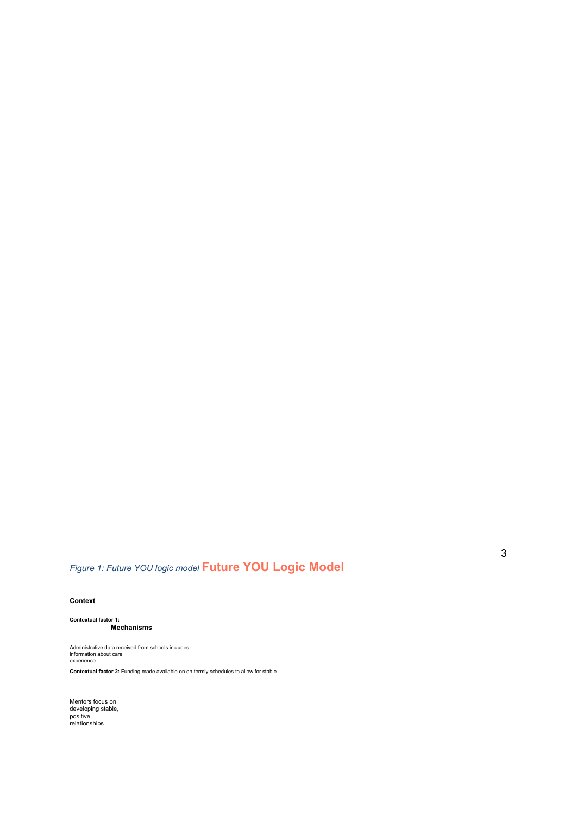# *Figure 1: Future YOU logic model* **Future YOU Logic Model**

#### **Context**

**Contextual factor 1: Intervention Mechanisms Outcomes** Incoming students with care

Administrative data received from schools includes information about care experience

**Contextual factor 2:** Funding made available on on termly schedules to allow for stable

Mentors focus on<br>developing stable,<br>positive<br>relationships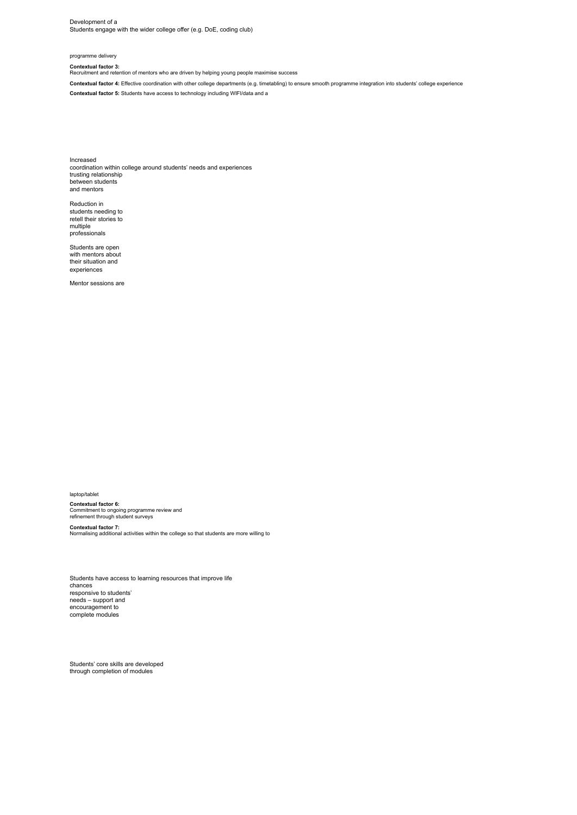Development of a Students engage with the wider college offer (e.g. DoE, coding club)

#### programme delivery

**Contextual factor 3:**

Recruitment and retention of mentors who are driven by helping young people maximise success

**Contextual factor 4:** Effective coordination with other college departments (e.g. timetabling) to ensure smooth programme integration into students' college experience **Contextual factor 5:** Students have access to technology including WIFI/data and a

Increased coordination within college around students' needs and experiences trusting relationship between students and mentors

Reduction in students needing to retell their stories to multiple professionals

Students are open with mentors about their situation and experiences

Mentor sessions are

laptop/tablet **Contextual factor 6:** Commitment to ongoing programme review and refinement through student surveys

**Contextual factor 7:** Normalising additional activities within the college so that students are more willing to

Students have access to learning resources that improve life chances responsive to students' needs – support and encouragement to complete modules

Students' core skills are developed through completion of modules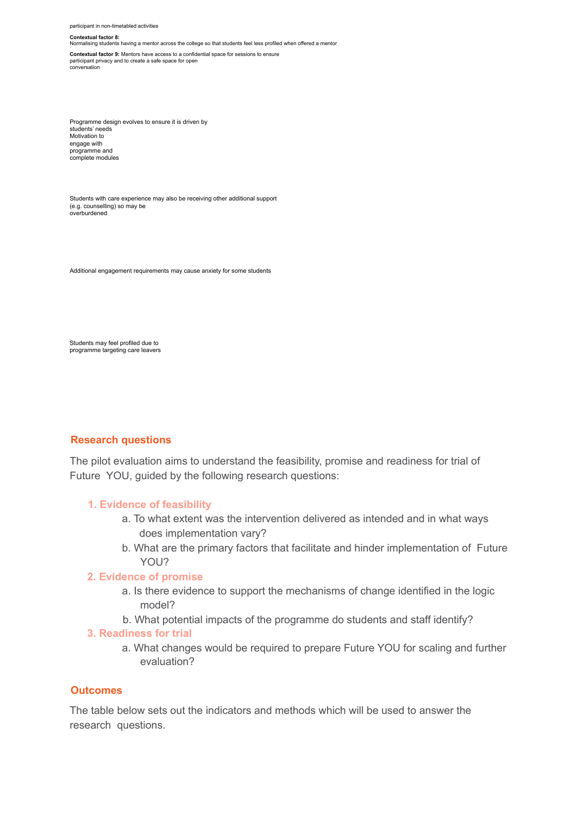participant in non-timetabled activities

#### **Contextual factor 8:**

Normalising students having a mentor across the college so that students feel less profiled when offered a mentor **Contextual factor 9:** Mentors have access to a confidential space for sessions to ensure participant privacy and to create a safe space for open conversation

Programme design evolves to ensure it is driven by students' needs Motivation to engage with programme and complete modules

Students with care experience may also be receiving other additional support (e.g. counselling) so may be overburdened

Additional engagement requirements may cause anxiety for some students

Students may feel profiled due to programme targeting care leavers

#### **Research questions**

The pilot evaluation aims to understand the feasibility, promise and readiness for trial of Future YOU, guided by the following research questions:

#### **1. Evidence of feasibility**

- a. To what extent was the intervention delivered as intended and in what ways does implementation vary?
- b. What are the primary factors that facilitate and hinder implementation of Future YOU?

#### **2. Evidence of promise**

- a. Is there evidence to support the mechanisms of change identified in the logic model?
- b. What potential impacts of the programme do students and staff identify?

#### **3. Readiness for trial**

a. What changes would be required to prepare Future YOU for scaling and further evaluation?

#### **Outcomes**

The table below sets out the indicators and methods which will be used to answer the research questions.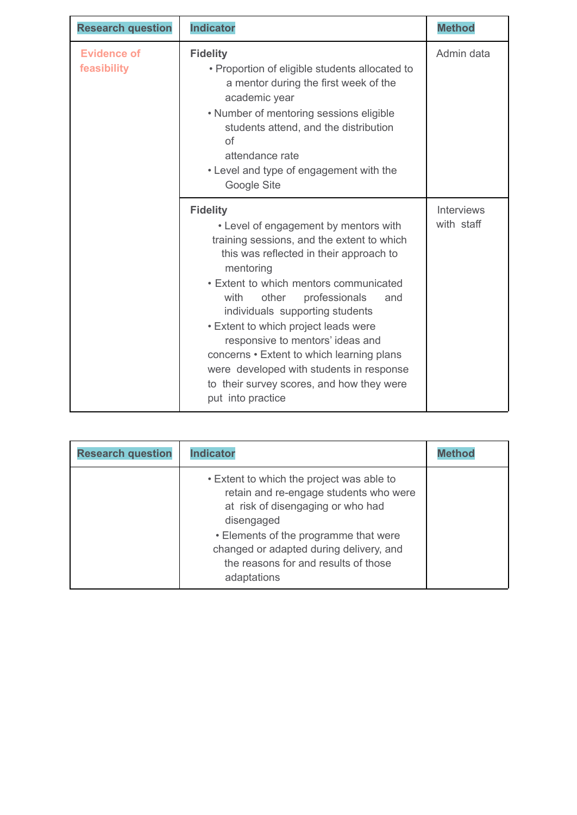| <b>Research question</b>          | <b>Indicator</b>                                                                                                                                                                                                                                                                                                                                                                                                                                                                                                            | <b>Method</b>                   |
|-----------------------------------|-----------------------------------------------------------------------------------------------------------------------------------------------------------------------------------------------------------------------------------------------------------------------------------------------------------------------------------------------------------------------------------------------------------------------------------------------------------------------------------------------------------------------------|---------------------------------|
| <b>Evidence of</b><br>feasibility | <b>Fidelity</b><br>• Proportion of eligible students allocated to<br>a mentor during the first week of the<br>academic year<br>• Number of mentoring sessions eligible<br>students attend, and the distribution<br><b>of</b><br>attendance rate<br>• Level and type of engagement with the<br>Google Site                                                                                                                                                                                                                   | Admin data                      |
|                                   | <b>Fidelity</b><br>• Level of engagement by mentors with<br>training sessions, and the extent to which<br>this was reflected in their approach to<br>mentoring<br>• Extent to which mentors communicated<br>with<br>professionals<br>other<br>and<br>individuals supporting students<br>• Extent to which project leads were<br>responsive to mentors' ideas and<br>concerns • Extent to which learning plans<br>were developed with students in response<br>to their survey scores, and how they were<br>put into practice | <b>Interviews</b><br>with staff |

| <b>Research question</b> | <b>Indicator</b>                                                                                                                                                                                                                                                                  |  |
|--------------------------|-----------------------------------------------------------------------------------------------------------------------------------------------------------------------------------------------------------------------------------------------------------------------------------|--|
|                          | • Extent to which the project was able to<br>retain and re-engage students who were<br>at risk of disengaging or who had<br>disengaged<br>• Elements of the programme that were<br>changed or adapted during delivery, and<br>the reasons for and results of those<br>adaptations |  |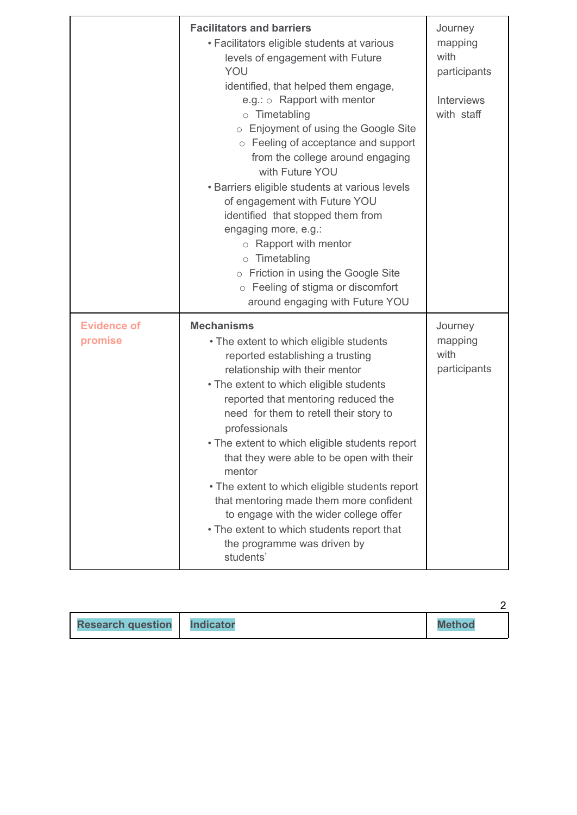|                               | <b>Facilitators and barriers</b><br>• Facilitators eligible students at various<br>levels of engagement with Future<br>YOU<br>identified, that helped them engage,<br>e.g.: $\circ$ Rapport with mentor<br>o Timetabling<br>○ Enjoyment of using the Google Site<br>○ Feeling of acceptance and support<br>from the college around engaging<br>with Future YOU<br>• Barriers eligible students at various levels<br>of engagement with Future YOU<br>identified that stopped them from<br>engaging more, e.g.:<br>$\circ$ Rapport with mentor<br>$\circ$ Timetabling<br>o Friction in using the Google Site<br>o Feeling of stigma or discomfort<br>around engaging with Future YOU | Journey<br>mapping<br>with<br>participants<br><b>Interviews</b><br>with staff |
|-------------------------------|-------------------------------------------------------------------------------------------------------------------------------------------------------------------------------------------------------------------------------------------------------------------------------------------------------------------------------------------------------------------------------------------------------------------------------------------------------------------------------------------------------------------------------------------------------------------------------------------------------------------------------------------------------------------------------------|-------------------------------------------------------------------------------|
| <b>Evidence of</b><br>promise | <b>Mechanisms</b><br>• The extent to which eligible students<br>reported establishing a trusting<br>relationship with their mentor<br>• The extent to which eligible students<br>reported that mentoring reduced the<br>need for them to retell their story to<br>professionals<br>• The extent to which eligible students report<br>that they were able to be open with their<br>mentor<br>• The extent to which eligible students report<br>that mentoring made them more confident<br>to engage with the wider college offer<br>• The extent to which students report that<br>the programme was driven by<br>students'                                                           | Journey<br>mapping<br>with<br>participants                                    |

| <b>Research question</b> | <b>Indicator</b> | <b>Method</b> |
|--------------------------|------------------|---------------|

2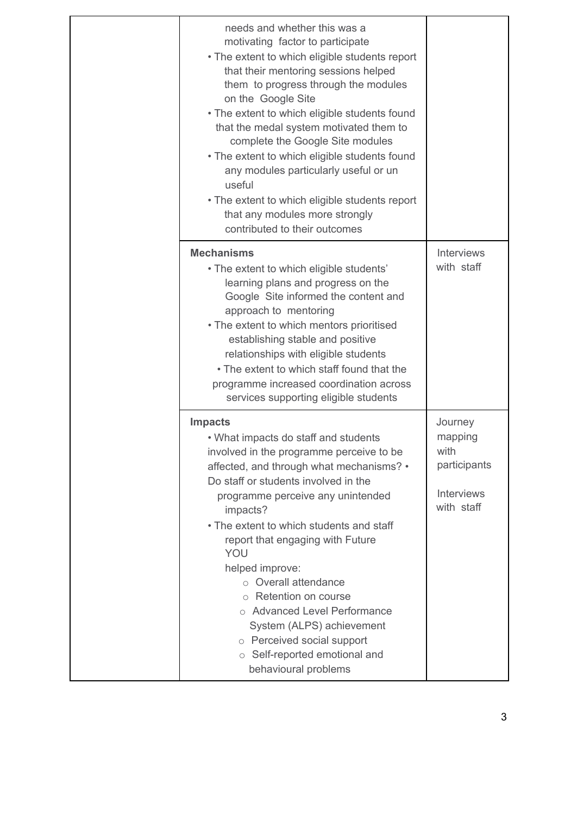| needs and whether this was a<br>motivating factor to participate<br>• The extent to which eligible students report<br>that their mentoring sessions helped<br>them to progress through the modules<br>on the Google Site<br>• The extent to which eligible students found<br>that the medal system motivated them to<br>complete the Google Site modules<br>• The extent to which eligible students found<br>any modules particularly useful or un<br>useful<br>• The extent to which eligible students report<br>that any modules more strongly<br>contributed to their outcomes |                                                                               |
|-----------------------------------------------------------------------------------------------------------------------------------------------------------------------------------------------------------------------------------------------------------------------------------------------------------------------------------------------------------------------------------------------------------------------------------------------------------------------------------------------------------------------------------------------------------------------------------|-------------------------------------------------------------------------------|
| <b>Mechanisms</b><br>• The extent to which eligible students'<br>learning plans and progress on the<br>Google Site informed the content and<br>approach to mentoring<br>• The extent to which mentors prioritised<br>establishing stable and positive<br>relationships with eligible students<br>• The extent to which staff found that the<br>programme increased coordination across<br>services supporting eligible students                                                                                                                                                   | <b>Interviews</b><br>with staff                                               |
| <b>Impacts</b><br>• What impacts do staff and students<br>involved in the programme perceive to be<br>affected, and through what mechanisms? •<br>Do staff or students involved in the<br>programme perceive any unintended<br>impacts?<br>• The extent to which students and staff<br>report that engaging with Future<br>YOU<br>helped improve:<br>○ Overall attendance<br>○ Retention on course<br>o Advanced Level Performance<br>System (ALPS) achievement<br>o Perceived social support<br>○ Self-reported emotional and<br>behavioural problems                            | Journey<br>mapping<br>with<br>participants<br><b>Interviews</b><br>with staff |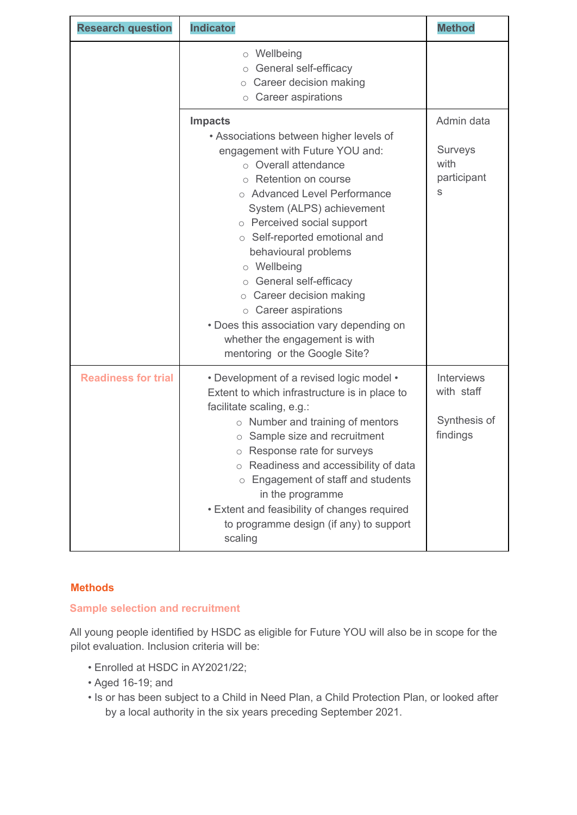| <b>Research question</b>   | <b>Indicator</b>                                                                                                                                                                                                                                                                                                                                                                                                                                                                                                            | <b>Method</b>                                               |
|----------------------------|-----------------------------------------------------------------------------------------------------------------------------------------------------------------------------------------------------------------------------------------------------------------------------------------------------------------------------------------------------------------------------------------------------------------------------------------------------------------------------------------------------------------------------|-------------------------------------------------------------|
|                            | $\circ$ Wellbeing<br>○ General self-efficacy<br>$\circ$ Career decision making<br>Career aspirations<br>$\circ$                                                                                                                                                                                                                                                                                                                                                                                                             |                                                             |
|                            | <b>Impacts</b><br>• Associations between higher levels of<br>engagement with Future YOU and:<br>○ Overall attendance<br>○ Retention on course<br>○ Advanced Level Performance<br>System (ALPS) achievement<br>o Perceived social support<br>○ Self-reported emotional and<br>behavioural problems<br>o Wellbeing<br>○ General self-efficacy<br>$\circ$ Career decision making<br>$\circ$ Career aspirations<br>• Does this association vary depending on<br>whether the engagement is with<br>mentoring or the Google Site? | Admin data<br><b>Surveys</b><br>with<br>participant<br>S    |
| <b>Readiness for trial</b> | • Development of a revised logic model •<br>Extent to which infrastructure is in place to<br>facilitate scaling, e.g.:<br>o Number and training of mentors<br>o Sample size and recruitment<br>o Response rate for surveys<br>Readiness and accessibility of data<br>$\circ$<br>Engagement of staff and students<br>in the programme<br>• Extent and feasibility of changes required<br>to programme design (if any) to support<br>scaling                                                                                  | <b>Interviews</b><br>with staff<br>Synthesis of<br>findings |

# **Methods**

# **Sample selection and recruitment**

All young people identified by HSDC as eligible for Future YOU will also be in scope for the pilot evaluation. Inclusion criteria will be:

- Enrolled at HSDC in AY2021/22;
- Aged 16-19; and
- Is or has been subject to a Child in Need Plan, a Child Protection Plan, or looked after by a local authority in the six years preceding September 2021.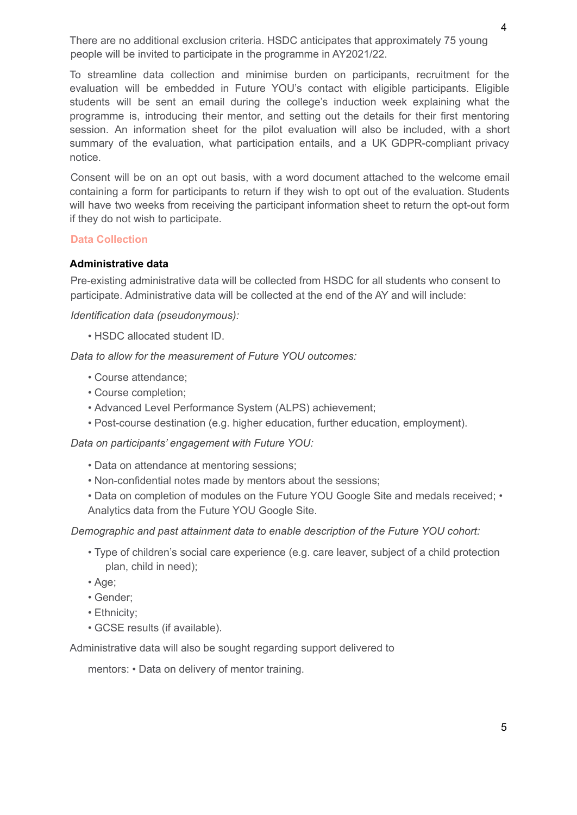There are no additional exclusion criteria. HSDC anticipates that approximately 75 young people will be invited to participate in the programme in AY2021/22.

To streamline data collection and minimise burden on participants, recruitment for the evaluation will be embedded in Future YOU's contact with eligible participants. Eligible students will be sent an email during the college's induction week explaining what the programme is, introducing their mentor, and setting out the details for their first mentoring session. An information sheet for the pilot evaluation will also be included, with a short summary of the evaluation, what participation entails, and a UK GDPR-compliant privacy notice.

Consent will be on an opt out basis, with a word document attached to the welcome email containing a form for participants to return if they wish to opt out of the evaluation. Students will have two weeks from receiving the participant information sheet to return the opt-out form if they do not wish to participate.

#### **Data Collection**

### **Administrative data**

Pre-existing administrative data will be collected from HSDC for all students who consent to participate. Administrative data will be collected at the end of the AY and will include:

*Identification data (pseudonymous):*

• HSDC allocated student ID.

*Data to allow for the measurement of Future YOU outcomes:*

- Course attendance;
- Course completion;
- Advanced Level Performance System (ALPS) achievement;
- Post-course destination (e.g. higher education, further education, employment).

*Data on participants' engagement with Future YOU:*

- Data on attendance at mentoring sessions;
- Non-confidential notes made by mentors about the sessions;
- Data on completion of modules on the Future YOU Google Site and medals received; Analytics data from the Future YOU Google Site.

#### *Demographic and past attainment data to enable description of the Future YOU cohort:*

- Type of children's social care experience (e.g. care leaver, subject of a child protection plan, child in need);
- Age;
- Gender;
- Ethnicity;
- GCSE results (if available).

Administrative data will also be sought regarding support delivered to

mentors: • Data on delivery of mentor training.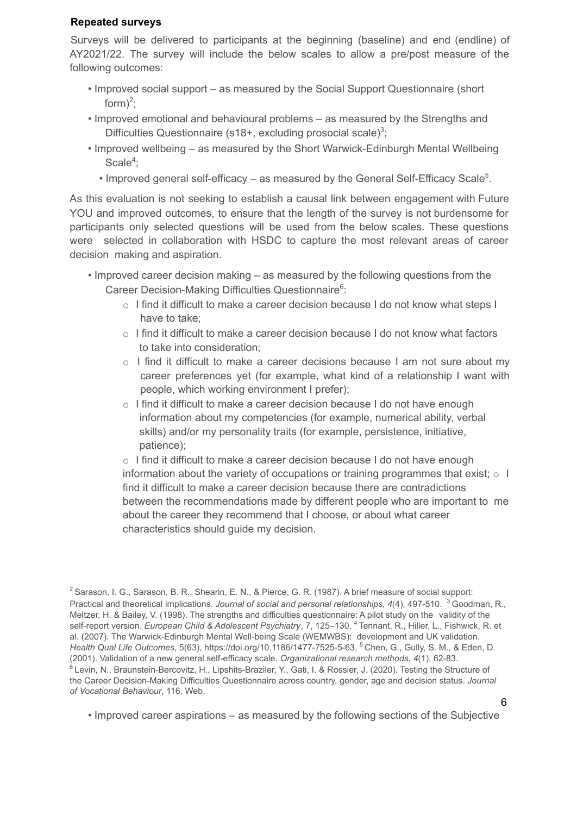### **Repeated surveys**

Surveys will be delivered to participants at the beginning (baseline) and end (endline) of AY2021/22. The survey will include the below scales to allow a pre/post measure of the following outcomes:

- Improved social support as measured by the Social Support Questionnaire (short form $)^2$ ;
- Improved emotional and behavioural problems as measured by the Strengths and Difficulties Questionnaire (s18+, excluding prosocial scale)<sup>3</sup>;
- Improved wellbeing as measured by the Short Warwick-Edinburgh Mental Wellbeing Scale<sup>4</sup>;
	- Improved general self-efficacy as measured by the General Self-Efficacy Scale<sup>5</sup>.

As this evaluation is not seeking to establish a causal link between engagement with Future YOU and improved outcomes, to ensure that the length of the survey is not burdensome for participants only selected questions will be used from the below scales. These questions were selected in collaboration with HSDC to capture the most relevant areas of career decision making and aspiration.

- Improved career decision making as measured by the following questions from the Career Decision-Making Difficulties Questionnaire<sup>6</sup>:
	- $\circ$  I find it difficult to make a career decision because I do not know what steps I have to take;
	- o I find it difficult to make a career decision because I do not know what factors to take into consideration;
	- $\circ$  I find it difficult to make a career decisions because I am not sure about my career preferences yet (for example, what kind of a relationship I want with people, which working environment I prefer);
	- $\circ$  I find it difficult to make a career decision because I do not have enough information about my competencies (for example, numerical ability, verbal skills) and/or my personality traits (for example, persistence, initiative, patience);

 $\circ$  I find it difficult to make a career decision because I do not have enough information about the variety of occupations or training programmes that exist;  $\circ$  I find it difficult to make a career decision because there are contradictions between the recommendations made by different people who are important to me about the career they recommend that I choose, or about what career characteristics should guide my decision.

• Improved career aspirations – as measured by the following sections of the Subjective

6

<sup>&</sup>lt;sup>2</sup> Sarason, I. G., Sarason, B. R., Shearin, E. N., & Pierce, G. R. (1987). A brief measure of social support: Practical and theoretical implications. *Journal of social and personal relationships*, *4*(4), 497-510. <sup>3</sup> Goodman, R., Meltzer, H. & Bailey, V. (1998). The strengths and difficulties questionnaire: A pilot study on the validity of the self-report version. *European Child & Adolescent Psychiatry*, 7, 125–130. <sup>4</sup> Tennant, R., Hiller, L., Fishwick, R. et al. (2007). The Warwick-Edinburgh Mental Well-being Scale (WEMWBS): development and UK validation. *Health Qual Life Outcomes*, 5(63), https://doi.org/10.1186/1477-7525-5-63. <sup>5</sup> Chen, G., Gully, S. M., & Eden, D. (2001). Validation of a new general self-efficacy scale. *Organizational research methods*, *4*(1), 62-83. <sup>6</sup> Levin, N., Braunstein-Bercovitz, H., Lipshits-Braziler, Y., Gati, I. & Rossier, J. (2020). Testing the Structure of the Career Decision-Making Difficulties Questionnaire across country, gender, age and decision status. *Journal of Vocational Behaviour*, 116, Web.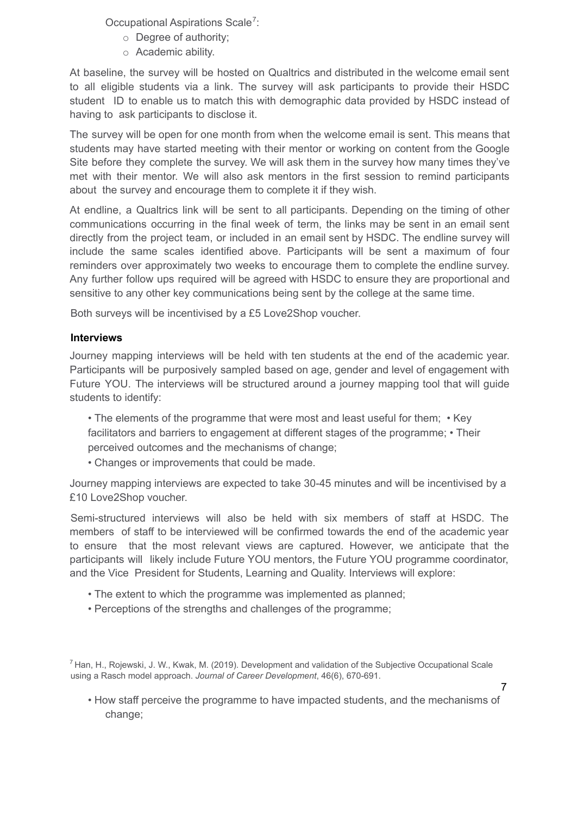Occupational Aspirations Scale<sup>7</sup>:

- o Degree of authority;
- o Academic ability.

At baseline, the survey will be hosted on Qualtrics and distributed in the welcome email sent to all eligible students via a link. The survey will ask participants to provide their HSDC student ID to enable us to match this with demographic data provided by HSDC instead of having to ask participants to disclose it.

The survey will be open for one month from when the welcome email is sent. This means that students may have started meeting with their mentor or working on content from the Google Site before they complete the survey. We will ask them in the survey how many times they've met with their mentor. We will also ask mentors in the first session to remind participants about the survey and encourage them to complete it if they wish.

At endline, a Qualtrics link will be sent to all participants. Depending on the timing of other communications occurring in the final week of term, the links may be sent in an email sent directly from the project team, or included in an email sent by HSDC. The endline survey will include the same scales identified above. Participants will be sent a maximum of four reminders over approximately two weeks to encourage them to complete the endline survey. Any further follow ups required will be agreed with HSDC to ensure they are proportional and sensitive to any other key communications being sent by the college at the same time.

Both surveys will be incentivised by a £5 Love2Shop voucher.

## **Interviews**

Journey mapping interviews will be held with ten students at the end of the academic year. Participants will be purposively sampled based on age, gender and level of engagement with Future YOU. The interviews will be structured around a journey mapping tool that will guide students to identify:

• The elements of the programme that were most and least useful for them; • Key facilitators and barriers to engagement at different stages of the programme; • Their perceived outcomes and the mechanisms of change;

• Changes or improvements that could be made.

Journey mapping interviews are expected to take 30-45 minutes and will be incentivised by a £10 Love2Shop voucher.

Semi-structured interviews will also be held with six members of staff at HSDC. The members of staff to be interviewed will be confirmed towards the end of the academic year to ensure that the most relevant views are captured. However, we anticipate that the participants will likely include Future YOU mentors, the Future YOU programme coordinator, and the Vice President for Students, Learning and Quality. Interviews will explore:

- The extent to which the programme was implemented as planned;
- Perceptions of the strengths and challenges of the programme;

• How staff perceive the programme to have impacted students, and the mechanisms of change;

<sup>7</sup> Han, H., Rojewski, J. W., Kwak, M. (2019). Development and validation of the Subjective Occupational Scale using a Rasch model approach. *Journal of Career Development*, 46(6), 670-691.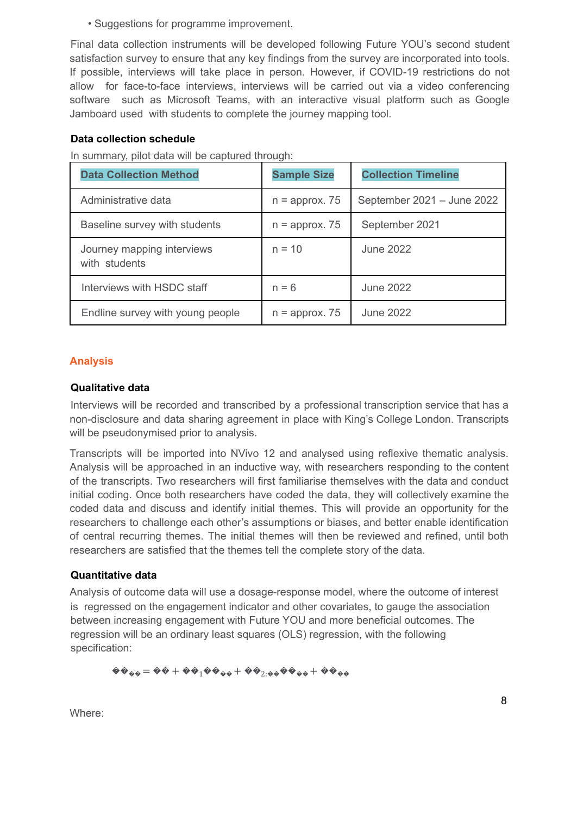• Suggestions for programme improvement.

Final data collection instruments will be developed following Future YOU's second student satisfaction survey to ensure that any key findings from the survey are incorporated into tools. If possible, interviews will take place in person. However, if COVID-19 restrictions do not allow for face-to-face interviews, interviews will be carried out via a video conferencing software such as Microsoft Teams, with an interactive visual platform such as Google Jamboard used with students to complete the journey mapping tool.

### **Data collection schedule**

In summary, pilot data will be captured through:

| <b>Data Collection Method</b>               | <b>Sample Size</b> | <b>Collection Timeline</b> |
|---------------------------------------------|--------------------|----------------------------|
| Administrative data                         | $n =$ approx. 75   | September 2021 - June 2022 |
| Baseline survey with students               | $n =$ approx. 75   | September 2021             |
| Journey mapping interviews<br>with students | $n = 10$           | June 2022                  |
| Interviews with HSDC staff                  | $n = 6$            | June 2022                  |
| Endline survey with young people            | $n =$ approx. 75   | June 2022                  |

### **Analysis**

#### **Qualitative data**

Interviews will be recorded and transcribed by a professional transcription service that has a non-disclosure and data sharing agreement in place with King's College London. Transcripts will be pseudonymised prior to analysis.

Transcripts will be imported into NVivo 12 and analysed using reflexive thematic analysis. Analysis will be approached in an inductive way, with researchers responding to the content of the transcripts. Two researchers will first familiarise themselves with the data and conduct initial coding. Once both researchers have coded the data, they will collectively examine the coded data and discuss and identify initial themes. This will provide an opportunity for the researchers to challenge each other's assumptions or biases, and better enable identification of central recurring themes. The initial themes will then be reviewed and refined, until both researchers are satisfied that the themes tell the complete story of the data.

### **Quantitative data**

Analysis of outcome data will use a dosage-response model, where the outcome of interest is regressed on the engagement indicator and other covariates, to gauge the association between increasing engagement with Future YOU and more beneficial outcomes. The regression will be an ordinary least squares (OLS) regression, with the following specification:

$$
\pmb{\hat{\Phi}\Phi_{\hat{\Phi}\hat{\Phi}}=\pmb{\hat{\Phi}\Phi}+\pmb{\hat{\Phi}\Phi_1\hat{\Phi}\Phi_{\hat{\Phi}\hat{\Phi}}+\pmb{\hat{\Phi}\Phi_2}_{: \hat{\Phi}\hat{\Phi}}\pmb{\hat{\Phi}\Phi_{\hat{\Phi}\hat{\Phi}}+\pmb{\hat{\Phi}\Phi_{\hat{\Phi}\hat{\Phi}}}}
$$

Where: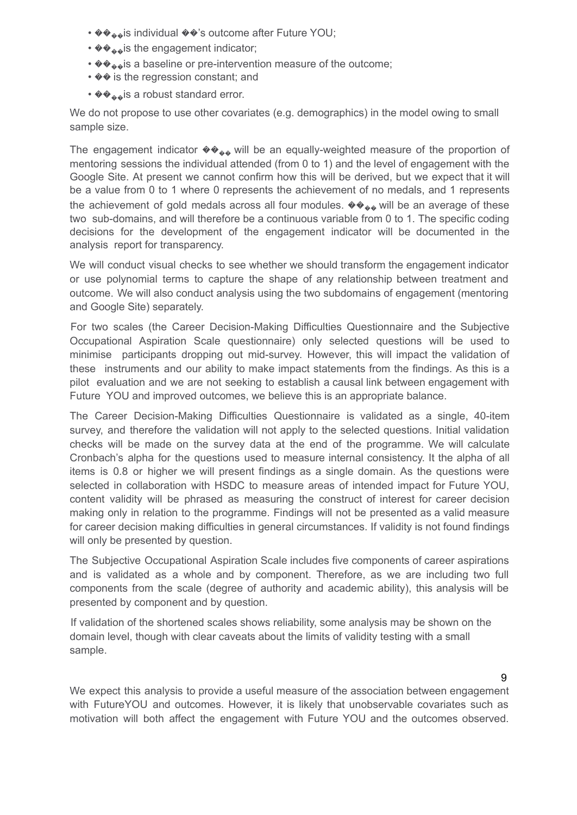- ����is individual ��'s outcome after Future YOU;
- ����is the engagement indicator;
- $\langle \mathbf{\hat{z}} \rangle$  is a baseline or pre-intervention measure of the outcome;
- $\diamond$  is the regression constant; and
- ����is a robust standard error.

We do not propose to use other covariates (e.g. demographics) in the model owing to small sample size.

The engagement indicator  $\langle \hat{\mathbf{v}} \rangle$  will be an equally-weighted measure of the proportion of mentoring sessions the individual attended (from 0 to 1) and the level of engagement with the Google Site. At present we cannot confirm how this will be derived, but we expect that it will be a value from 0 to 1 where 0 represents the achievement of no medals, and 1 represents the achievement of gold medals across all four modules.  $\langle \phi \phi_{\phi} \phi \rangle$  will be an average of these two sub-domains, and will therefore be a continuous variable from 0 to 1. The specific coding decisions for the development of the engagement indicator will be documented in the analysis report for transparency.

We will conduct visual checks to see whether we should transform the engagement indicator or use polynomial terms to capture the shape of any relationship between treatment and outcome. We will also conduct analysis using the two subdomains of engagement (mentoring and Google Site) separately.

For two scales (the Career Decision-Making Difficulties Questionnaire and the Subjective Occupational Aspiration Scale questionnaire) only selected questions will be used to minimise participants dropping out mid-survey. However, this will impact the validation of these instruments and our ability to make impact statements from the findings. As this is a pilot evaluation and we are not seeking to establish a causal link between engagement with Future YOU and improved outcomes, we believe this is an appropriate balance.

The Career Decision-Making Difficulties Questionnaire is validated as a single, 40-item survey, and therefore the validation will not apply to the selected questions. Initial validation checks will be made on the survey data at the end of the programme. We will calculate Cronbach's alpha for the questions used to measure internal consistency. It the alpha of all items is 0.8 or higher we will present findings as a single domain. As the questions were selected in collaboration with HSDC to measure areas of intended impact for Future YOU, content validity will be phrased as measuring the construct of interest for career decision making only in relation to the programme. Findings will not be presented as a valid measure for career decision making difficulties in general circumstances. If validity is not found findings will only be presented by question.

The Subjective Occupational Aspiration Scale includes five components of career aspirations and is validated as a whole and by component. Therefore, as we are including two full components from the scale (degree of authority and academic ability), this analysis will be presented by component and by question.

If validation of the shortened scales shows reliability, some analysis may be shown on the domain level, though with clear caveats about the limits of validity testing with a small sample.

9

We expect this analysis to provide a useful measure of the association between engagement with FutureYOU and outcomes. However, it is likely that unobservable covariates such as motivation will both affect the engagement with Future YOU and the outcomes observed.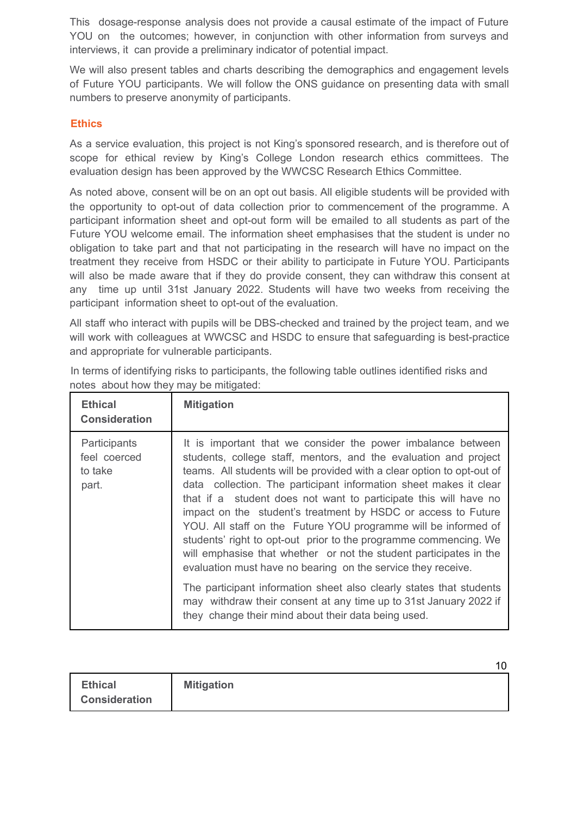This dosage-response analysis does not provide a causal estimate of the impact of Future YOU on the outcomes; however, in conjunction with other information from surveys and interviews, it can provide a preliminary indicator of potential impact.

We will also present tables and charts describing the demographics and engagement levels of Future YOU participants. We will follow the ONS guidance on presenting data with small numbers to preserve anonymity of participants.

# **Ethics**

As a service evaluation, this project is not King's sponsored research, and is therefore out of scope for ethical review by King's College London research ethics committees. The evaluation design has been approved by the WWCSC Research Ethics Committee.

As noted above, consent will be on an opt out basis. All eligible students will be provided with the opportunity to opt-out of data collection prior to commencement of the programme. A participant information sheet and opt-out form will be emailed to all students as part of the Future YOU welcome email. The information sheet emphasises that the student is under no obligation to take part and that not participating in the research will have no impact on the treatment they receive from HSDC or their ability to participate in Future YOU. Participants will also be made aware that if they do provide consent, they can withdraw this consent at any time up until 31st January 2022. Students will have two weeks from receiving the participant information sheet to opt-out of the evaluation.

All staff who interact with pupils will be DBS-checked and trained by the project team, and we will work with colleagues at WWCSC and HSDC to ensure that safeguarding is best-practice and appropriate for vulnerable participants.

| <b>Ethical</b><br><b>Consideration</b>           | <b>Mitigation</b>                                                                                                                                                                                                                                                                                                                                                                                                                                                                                                                                                                                                                                                                                |
|--------------------------------------------------|--------------------------------------------------------------------------------------------------------------------------------------------------------------------------------------------------------------------------------------------------------------------------------------------------------------------------------------------------------------------------------------------------------------------------------------------------------------------------------------------------------------------------------------------------------------------------------------------------------------------------------------------------------------------------------------------------|
| Participants<br>feel coerced<br>to take<br>part. | It is important that we consider the power imbalance between<br>students, college staff, mentors, and the evaluation and project<br>teams. All students will be provided with a clear option to opt-out of<br>data collection. The participant information sheet makes it clear<br>that if a student does not want to participate this will have no<br>impact on the student's treatment by HSDC or access to Future<br>YOU. All staff on the Future YOU programme will be informed of<br>students' right to opt-out prior to the programme commencing. We<br>will emphasise that whether or not the student participates in the<br>evaluation must have no bearing on the service they receive. |
|                                                  | The participant information sheet also clearly states that students<br>may withdraw their consent at any time up to 31st January 2022 if<br>they change their mind about their data being used.                                                                                                                                                                                                                                                                                                                                                                                                                                                                                                  |

In terms of identifying risks to participants, the following table outlines identified risks and notes about how they may be mitigated:

| <b>Ethical</b>       | <b>Mitigation</b> |
|----------------------|-------------------|
| <b>Consideration</b> |                   |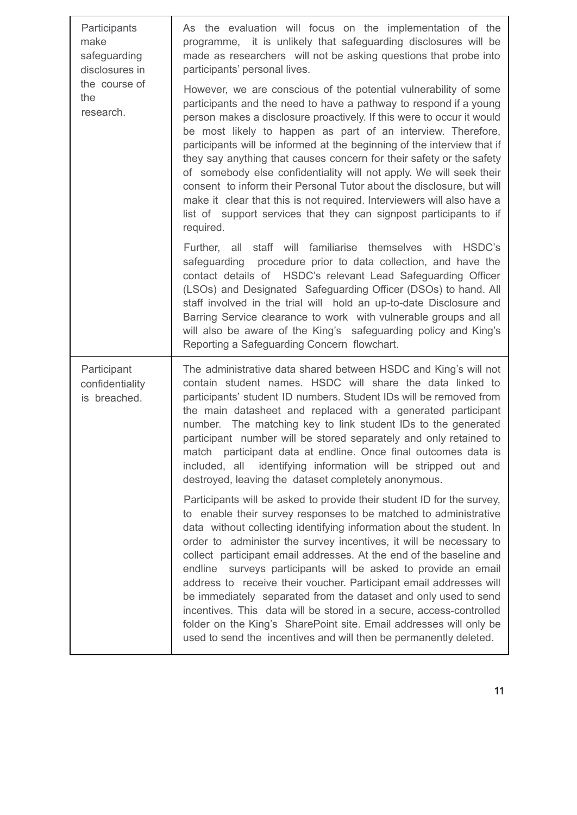| Participants<br>make<br>safeguarding<br>disclosures in<br>the course of<br>the<br>research. | As the evaluation will focus on the implementation of the<br>programme, it is unlikely that safeguarding disclosures will be<br>made as researchers will not be asking questions that probe into<br>participants' personal lives.                                                                                                                                                                                                                                                                                                                                                                                                                                                                                                                                                             |
|---------------------------------------------------------------------------------------------|-----------------------------------------------------------------------------------------------------------------------------------------------------------------------------------------------------------------------------------------------------------------------------------------------------------------------------------------------------------------------------------------------------------------------------------------------------------------------------------------------------------------------------------------------------------------------------------------------------------------------------------------------------------------------------------------------------------------------------------------------------------------------------------------------|
|                                                                                             | However, we are conscious of the potential vulnerability of some<br>participants and the need to have a pathway to respond if a young<br>person makes a disclosure proactively. If this were to occur it would<br>be most likely to happen as part of an interview. Therefore,<br>participants will be informed at the beginning of the interview that if<br>they say anything that causes concern for their safety or the safety<br>of somebody else confidentiality will not apply. We will seek their<br>consent to inform their Personal Tutor about the disclosure, but will<br>make it clear that this is not required. Interviewers will also have a<br>list of support services that they can signpost participants to if<br>required.                                                |
|                                                                                             | Further, all staff will familiarise themselves with HSDC's<br>safeguarding procedure prior to data collection, and have the<br>contact details of HSDC's relevant Lead Safeguarding Officer<br>(LSOs) and Designated Safeguarding Officer (DSOs) to hand. All<br>staff involved in the trial will hold an up-to-date Disclosure and<br>Barring Service clearance to work with vulnerable groups and all<br>will also be aware of the King's safeguarding policy and King's<br>Reporting a Safeguarding Concern flowchart.                                                                                                                                                                                                                                                                     |
| Participant<br>confidentiality<br>is breached.                                              | The administrative data shared between HSDC and King's will not<br>contain student names. HSDC will share the data linked to<br>participants' student ID numbers. Student IDs will be removed from<br>the main datasheet and replaced with a generated participant<br>number. The matching key to link student IDs to the generated<br>participant number will be stored separately and only retained to<br>participant data at endline. Once final outcomes data is<br>match<br>identifying information will be stripped out and<br>included, all<br>destroyed, leaving the dataset completely anonymous.                                                                                                                                                                                    |
|                                                                                             | Participants will be asked to provide their student ID for the survey,<br>to enable their survey responses to be matched to administrative<br>data without collecting identifying information about the student. In<br>order to administer the survey incentives, it will be necessary to<br>collect participant email addresses. At the end of the baseline and<br>endline surveys participants will be asked to provide an email<br>address to receive their voucher. Participant email addresses will<br>be immediately separated from the dataset and only used to send<br>incentives. This data will be stored in a secure, access-controlled<br>folder on the King's SharePoint site. Email addresses will only be<br>used to send the incentives and will then be permanently deleted. |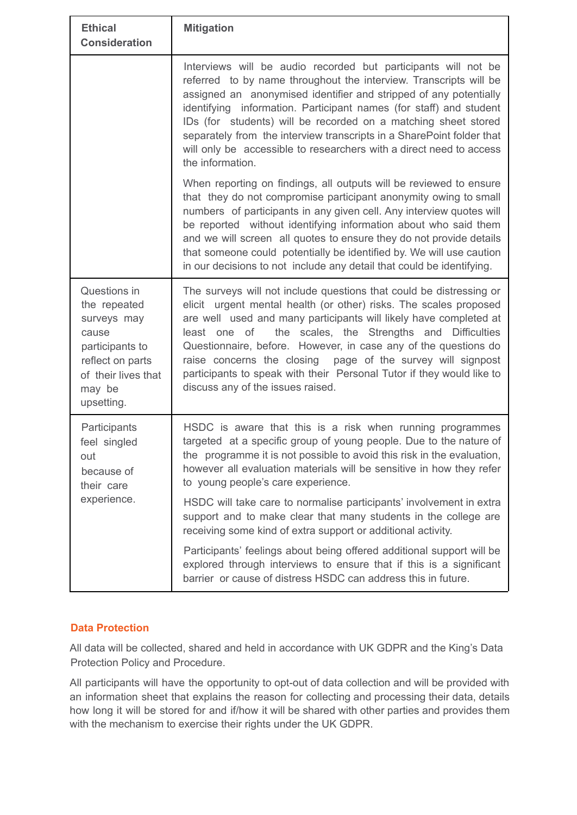| <b>Ethical</b><br><b>Consideration</b>                                                                                                     | <b>Mitigation</b>                                                                                                                                                                                                                                                                                                                                                                                                                                                                                                           |
|--------------------------------------------------------------------------------------------------------------------------------------------|-----------------------------------------------------------------------------------------------------------------------------------------------------------------------------------------------------------------------------------------------------------------------------------------------------------------------------------------------------------------------------------------------------------------------------------------------------------------------------------------------------------------------------|
|                                                                                                                                            | Interviews will be audio recorded but participants will not be<br>referred to by name throughout the interview. Transcripts will be<br>assigned an anonymised identifier and stripped of any potentially<br>identifying information. Participant names (for staff) and student<br>IDs (for students) will be recorded on a matching sheet stored<br>separately from the interview transcripts in a SharePoint folder that<br>will only be accessible to researchers with a direct need to access<br>the information.        |
|                                                                                                                                            | When reporting on findings, all outputs will be reviewed to ensure<br>that they do not compromise participant anonymity owing to small<br>numbers of participants in any given cell. Any interview quotes will<br>be reported without identifying information about who said them<br>and we will screen all quotes to ensure they do not provide details<br>that someone could potentially be identified by. We will use caution<br>in our decisions to not include any detail that could be identifying.                   |
| Questions in<br>the repeated<br>surveys may<br>cause<br>participants to<br>reflect on parts<br>of their lives that<br>may be<br>upsetting. | The surveys will not include questions that could be distressing or<br>elicit urgent mental health (or other) risks. The scales proposed<br>are well used and many participants will likely have completed at<br>the scales, the Strengths and Difficulties<br>least one of<br>Questionnaire, before. However, in case any of the questions do<br>raise concerns the closing page of the survey will signpost<br>participants to speak with their Personal Tutor if they would like to<br>discuss any of the issues raised. |
| Participants<br>feel singled<br>out<br>because of<br>their care                                                                            | HSDC is aware that this is a risk when running programmes<br>targeted at a specific group of young people. Due to the nature of<br>the programme it is not possible to avoid this risk in the evaluation,<br>however all evaluation materials will be sensitive in how they refer<br>to young people's care experience.                                                                                                                                                                                                     |
| experience.                                                                                                                                | HSDC will take care to normalise participants' involvement in extra<br>support and to make clear that many students in the college are<br>receiving some kind of extra support or additional activity.                                                                                                                                                                                                                                                                                                                      |
|                                                                                                                                            | Participants' feelings about being offered additional support will be<br>explored through interviews to ensure that if this is a significant<br>barrier or cause of distress HSDC can address this in future.                                                                                                                                                                                                                                                                                                               |

# **Data Protection**

All data will be collected, shared and held in accordance with UK GDPR and the King's Data Protection Policy and Procedure.

All participants will have the opportunity to opt-out of data collection and will be provided with an information sheet that explains the reason for collecting and processing their data, details how long it will be stored for and if/how it will be shared with other parties and provides them with the mechanism to exercise their rights under the UK GDPR.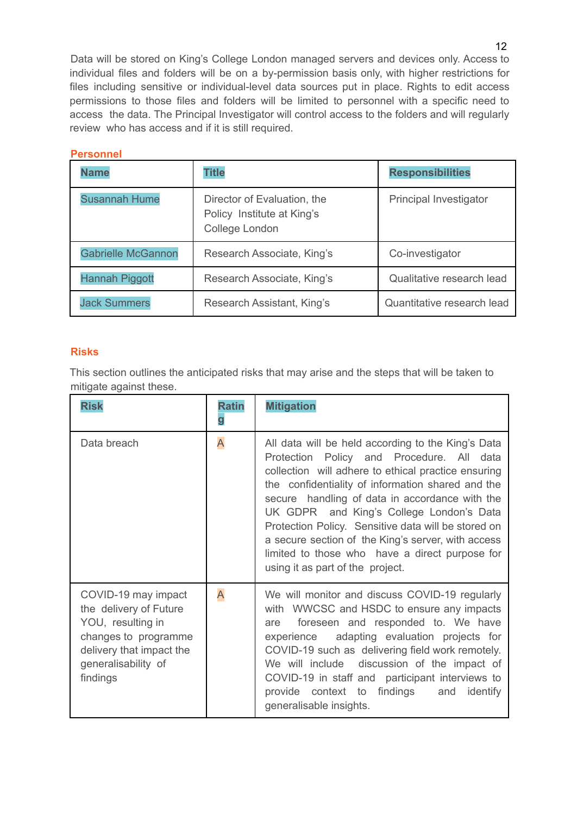Data will be stored on King's College London managed servers and devices only. Access to individual files and folders will be on a by-permission basis only, with higher restrictions for files including sensitive or individual-level data sources put in place. Rights to edit access permissions to those files and folders will be limited to personnel with a specific need to access the data. The Principal Investigator will control access to the folders and will regularly review who has access and if it is still required.

| <b>Personnel</b>          |                                                                             |                            |  |  |  |  |  |  |
|---------------------------|-----------------------------------------------------------------------------|----------------------------|--|--|--|--|--|--|
| <b>Name</b>               | <b>Title</b>                                                                | <b>Responsibilities</b>    |  |  |  |  |  |  |
| <b>Susannah Hume</b>      | Director of Evaluation, the<br>Policy Institute at King's<br>College London | Principal Investigator     |  |  |  |  |  |  |
| <b>Gabrielle McGannon</b> | Research Associate, King's                                                  | Co-investigator            |  |  |  |  |  |  |
| <b>Hannah Piggott</b>     | Research Associate, King's                                                  | Qualitative research lead  |  |  |  |  |  |  |
| <b>Jack Summers</b>       | Research Assistant, King's                                                  | Quantitative research lead |  |  |  |  |  |  |

# **Risks**

This section outlines the anticipated risks that may arise and the steps that will be taken to mitigate against these.

| <b>Risk</b>                                                                                                                                               | <b>Ratin</b><br>g | <b>Mitigation</b>                                                                                                                                                                                                                                                                                                                                                                                                                                                                                            |
|-----------------------------------------------------------------------------------------------------------------------------------------------------------|-------------------|--------------------------------------------------------------------------------------------------------------------------------------------------------------------------------------------------------------------------------------------------------------------------------------------------------------------------------------------------------------------------------------------------------------------------------------------------------------------------------------------------------------|
| Data breach                                                                                                                                               | A                 | All data will be held according to the King's Data<br>Protection Policy and Procedure. All data<br>collection will adhere to ethical practice ensuring<br>the confidentiality of information shared and the<br>secure handling of data in accordance with the<br>UK GDPR and King's College London's Data<br>Protection Policy. Sensitive data will be stored on<br>a secure section of the King's server, with access<br>limited to those who have a direct purpose for<br>using it as part of the project. |
| COVID-19 may impact<br>the delivery of Future<br>YOU, resulting in<br>changes to programme<br>delivery that impact the<br>generalisability of<br>findings | A                 | We will monitor and discuss COVID-19 regularly<br>with WWCSC and HSDC to ensure any impacts<br>foreseen and responded to. We have<br>are<br>experience adapting evaluation projects for<br>COVID-19 such as delivering field work remotely.<br>We will include discussion of the impact of<br>COVID-19 in staff and participant interviews to<br>provide context to findings and<br>identify<br>generalisable insights.                                                                                      |